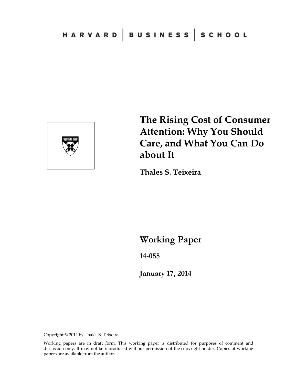

**The Rising Cost of Consumer Attention: Why You Should Care, and What You Can Do about It** 

**Thales S. Teixeira** 

**Working Paper** 

**14-055** 

**January 17, 2014**

Copyright © 2014 by Thales S. Teixeira

Working papers are in draft form. This working paper is distributed for purposes of comment and discussion only. It may not be reproduced without permission of the copyright holder. Copies of working papers are available from the author.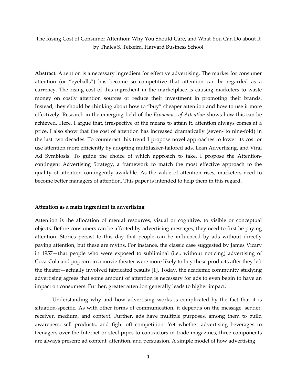The Rising Cost of Consumer Attention: Why You Should Care, and What You Can Do about It by Thales S. Teixeira, Harvard Business School

**Abstract:** Attention is a necessary ingredient for effective advertising. The market for consumer attention (or "eyeballs") has become so competitive that attention can be regarded as a currency. The rising cost of this ingredient in the marketplace is causing marketers to waste money on costly attention sources or reduce their investment in promoting their brands. Instead, they should be thinking about how to "buy" cheaper attention and how to use it more effectively. Research in the emerging field of the *Economics of Attention* shows how this can be achieved. Here, I argue that, irrespective of the means to attain it, attention always comes at a price. I also show that the cost of attention has increased dramatically (seven‐ to nine‐fold) in the last two decades. To counteract this trend I propose novel approaches to lower its cost or use attention more efficiently by adopting multitasker-tailored ads, Lean Advertising, and Viral Ad Symbiosis. To guide the choice of which approach to take, I propose the Attentioncontingent Advertising Strategy, a framework to match the most effective approach to the quality of attention contingently available. As the value of attention rises, marketers need to become better managers of attention. This paper is intended to help them in this regard.

#### **Attention as a main ingredient in advertising**

Attention is the allocation of mental resources, visual or cognitive, to visible or conceptual objects. Before consumers can be affected by advertising messages, they need to first be paying attention. Stories persist to this day that people can be influenced by ads without directly paying attention, but these are myths. For instance, the classic case suggested by James Vicary in 1957—that people who were exposed to subliminal (i.e., without noticing) advertising of Coca‐Cola and popcorn in a movie theater were more likely to buy these products after they left the theater—actually involved fabricated results [1]. Today, the academic community studying advertising agrees that some amount of attention is necessary for ads to even begin to have an impact on consumers. Further, greater attention generally leads to higher impact.

Understanding why and how advertising works is complicated by the fact that it is situation-specific. As with other forms of communication, it depends on the message, sender, receiver, medium, and context. Further, ads have multiple purposes, among them to build awareness, sell products, and fight off competition. Yet whether advertising beverages to teenagers over the Internet or steel pipes to contractors in trade magazines, three components are always present: ad content, attention, and persuasion. A simple model of how advertising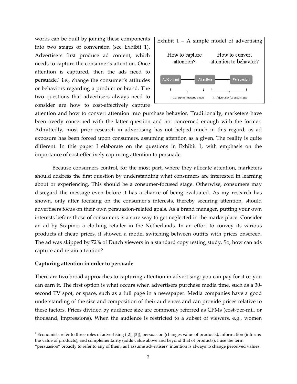works can be built by joining these components into two stages of conversion (see Exhibit 1). Advertisers first produce ad content, which needs to capture the consumer's attention. Once attention is captured, then the ads need to persuade, $\frac{1}{2}$  i.e., change the consumer's attitudes or behaviors regarding a product or brand. The two questions that advertisers always need to consider are how to cost-effectively capture



attention and how to convert attention into purchase behavior. Traditionally, marketers have been overly concerned with the latter question and not concerned enough with the former. Admittedly, most prior research in advertising has not helped much in this regard, as ad exposure has been forced upon consumers, assuming attention as a given. The reality is quite different. In this paper I elaborate on the questions in Exhibit 1, with emphasis on the importance of cost-effectively capturing attention to persuade.

Because consumers control, for the most part, where they allocate attention, marketers should address the first question by understanding what consumers are interested in learning about or experiencing. This should be a consumer‐focused stage. Otherwise, consumers may disregard the message even before it has a chance of being evaluated. As my research has shown, only after focusing on the consumer's interests, thereby securing attention, should advertisers focus on their own persuasion‐related goals. As a brand manager, putting your own interests before those of consumers is a sure way to get neglected in the marketplace. Consider an ad by Scapino, a clothing retailer in the Netherlands. In an effort to convey its various products at cheap prices, it showed a model switching between outfits with prices onscreen. The ad was skipped by 72% of Dutch viewers in a standard copy testing study. So, how can ads capture and retain attention?

# **Capturing attention in order to persuade**

There are two broad approaches to capturing attention in advertising: you can pay for it or you can earn it. The first option is what occurs when advertisers purchase media time, such as a 30‐ second TV spot, or space, such as a full page in a newspaper. Media companies have a good understanding of the size and composition of their audiences and can provide prices relative to these factors. Prices divided by audience size are commonly referred as CPMs (cost‐per‐mil, or thousand, impressions). When the audience is restricted to a subset of viewers, e.g., women

 $1<sup>1</sup>$  Economists refer to three roles of advertising ([2], [3]), persuasion (changes value of products), information (informs the value of products), and complementarity (adds value above and beyond that of products). I use the term

<sup>&</sup>quot;persuasion" broadly to refer to any of them, as I assume advertisers' intention is always to change perceived values.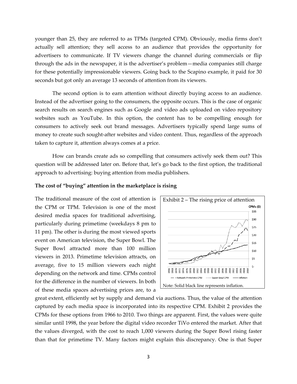younger than 25, they are referred to as TPMs (targeted CPM). Obviously, media firms don't actually sell attention; they sell access to an audience that provides the opportunity for advertisers to communicate. If TV viewers change the channel during commercials or flip through the ads in the newspaper, it is the advertiser's problem—media companies still charge for these potentially impressionable viewers. Going back to the Scapino example, it paid for 30 seconds but got only an average 13 seconds of attention from its viewers.

The second option is to earn attention without directly buying access to an audience. Instead of the advertiser going to the consumers, the opposite occurs. This is the case of organic search results on search engines such as Google and video ads uploaded on video repository websites such as YouTube. In this option, the content has to be compelling enough for consumers to actively seek out brand messages. Advertisers typically spend large sums of money to create such sought‐after websites and video content. Thus, regardless of the approach taken to capture it, attention always comes at a price.

How can brands create ads so compelling that consumers actively seek them out? This question will be addressed later on. Before that, let's go back to the first option, the traditional approach to advertising: buying attention from media publishers.

## **The cost of "buying" attention in the marketplace is rising**

The traditional measure of the cost of attention is the CPM or TPM. Television is one of the most desired media spaces for traditional advertising, particularly during primetime (weekdays 8 pm to 11 pm). The other is during the most viewed sports event on American television, the Super Bowl. The Super Bowl attracted more than 100 million viewers in 2013. Primetime television attracts, on average, five to 15 million viewers each night depending on the network and time. CPMs control for the difference in the number of viewers. In both of these media spaces advertising prices are, to a



great extent, efficiently set by supply and demand via auctions. Thus, the value of the attention captured by each media space is incorporated into its respective CPM. Exhibit 2 provides the CPMs for these options from 1966 to 2010. Two things are apparent. First, the values were quite similar until 1998, the year before the digital video recorder TiVo entered the market. After that the values diverged, with the cost to reach 1,000 viewers during the Super Bowl rising faster than that for primetime TV. Many factors might explain this discrepancy. One is that Super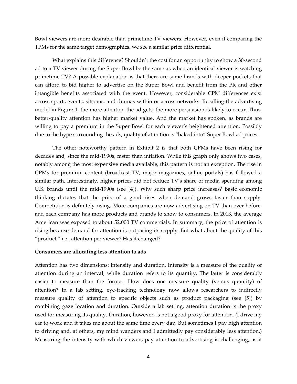Bowl viewers are more desirable than primetime TV viewers. However, even if comparing the TPMs for the same target demographics, we see a similar price differential.

What explains this difference? Shouldn't the cost for an opportunity to show a 30-second ad to a TV viewer during the Super Bowl be the same as when an identical viewer is watching primetime TV? A possible explanation is that there are some brands with deeper pockets that can afford to bid higher to advertise on the Super Bowl and benefit from the PR and other intangible benefits associated with the event. However, considerable CPM differences exist across sports events, sitcoms, and dramas within or across networks. Recalling the advertising model in Figure 1, the more attention the ad gets, the more persuasion is likely to occur. Thus, better-quality attention has higher market value. And the market has spoken, as brands are willing to pay a premium in the Super Bowl for each viewer's heightened attention. Possibly due to the hype surrounding the ads, quality of attention is "baked into" Super Bowl ad prices.

The other noteworthy pattern in Exhibit 2 is that both CPMs have been rising for decades and, since the mid‐1990s, faster than inflation. While this graph only shows two cases, notably among the most expensive media available, this pattern is not an exception. The rise in CPMs for premium content (broadcast TV, major magazines, online portals) has followed a similar path. Interestingly, higher prices did not reduce TV's share of media spending among U.S. brands until the mid‐1990s (see [4]). Why such sharp price increases? Basic economic thinking dictates that the price of a good rises when demand grows faster than supply. Competition is definitely rising. More companies are now advertising on TV than ever before, and each company has more products and brands to show to consumers. In 2013, the average American was exposed to about 52,000 TV commercials. In summary, the price of attention is rising because demand for attention is outpacing its supply. But what about the quality of this "product," i.e., attention per viewer? Has it changed?

#### **Consumers are allocating less attention to ads**

Attention has two dimensions: intensity and duration. Intensity is a measure of the quality of attention during an interval, while duration refers to its quantity. The latter is considerably easier to measure than the former. How does one measure quality (versus quantity) of attention? In a lab setting, eye‐tracking technology now allows researchers to indirectly measure quality of attention to specific objects such as product packaging (see [5]) by combining gaze location and duration. Outside a lab setting, attention duration is the proxy used for measuring its quality. Duration, however, is not a good proxy for attention. (I drive my car to work and it takes me about the same time every day. But sometimes I pay high attention to driving and, at others, my mind wanders and I admittedly pay considerably less attention.) Measuring the intensity with which viewers pay attention to advertising is challenging, as it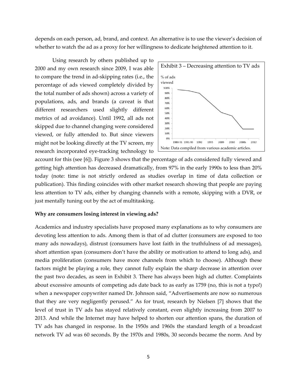depends on each person, ad, brand, and context. An alternative is to use the viewer's decision of whether to watch the ad as a proxy for her willingness to dedicate heightened attention to it.

Using research by others published up to 2000 and my own research since 2009, I was able to compare the trend in ad‐skipping rates (i.e., the percentage of ads viewed completely divided by the total number of ads shown) across a variety of populations, ads, and brands (a caveat is that different researchers used slightly different metrics of ad avoidance). Until 1992, all ads not skipped due to channel changing were considered viewed, or fully attended to. But since viewers might not be looking directly at the TV screen, my research incorporated eye‐tracking technology to



account for this (see [6]). Figure 3 shows that the percentage of ads considered fully viewed and getting high attention has decreased dramatically, from 97% in the early 1990s to less than 20% today (note: time is not strictly ordered as studies overlap in time of data collection or publication). This finding coincides with other market research showing that people are paying less attention to TV ads, either by changing channels with a remote, skipping with a DVR, or just mentally tuning out by the act of multitasking.

#### **Why are consumers losing interest in viewing ads?**

Academics and industry specialists have proposed many explanations as to why consumers are devoting less attention to ads. Among them is that of ad clutter (consumers are exposed to too many ads nowadays), distrust (consumers have lost faith in the truthfulness of ad messages), short attention span (consumers don't have the ability or motivation to attend to long ads), and media proliferation (consumers have more channels from which to choose). Although these factors might be playing a role, they cannot fully explain the sharp decrease in attention over the past two decades, as seen in Exhibit 3. There has always been high ad clutter. Complaints about excessive amounts of competing ads date back to as early as 1759 (no, this is not a typo!) when a newspaper copywriter named Dr. Johnson said, "Advertisements are now so numerous that they are very negligently perused." As for trust, research by Nielsen [7] shows that the level of trust in TV ads has stayed relatively constant, even slightly increasing from 2007 to 2013. And while the Internet may have helped to shorten our attention spans, the duration of TV ads has changed in response. In the 1950s and 1960s the standard length of a broadcast network TV ad was 60 seconds. By the 1970s and 1980s, 30 seconds became the norm. And by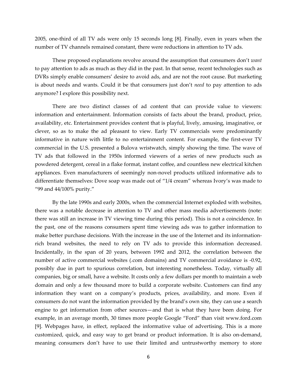2005, one‐third of all TV ads were only 15 seconds long [8]. Finally, even in years when the number of TV channels remained constant, there were reductions in attention to TV ads.

These proposed explanations revolve around the assumption that consumers don't *want* to pay attention to ads as much as they did in the past. In that sense, recent technologies such as DVRs simply enable consumers' desire to avoid ads, and are not the root cause. But marketing is about needs and wants. Could it be that consumers just don't *need* to pay attention to ads anymore? I explore this possibility next.

There are two distinct classes of ad content that can provide value to viewers: information and entertainment. Information consists of facts about the brand, product, price, availability, etc. Entertainment provides content that is playful, lively, amusing, imaginative, or clever, so as to make the ad pleasant to view. Early TV commercials were predominantly informative in nature with little to no entertainment content. For example, the first‐ever TV commercial in the U.S. presented a Bulova wristwatch, simply showing the time. The wave of TV ads that followed in the 1950s informed viewers of a series of new products such as powdered detergent, cereal in a flake format, instant coffee, and countless new electrical kitchen appliances. Even manufacturers of seemingly non‐novel products utilized informative ads to differentiate themselves: Dove soap was made out of "1/4 cream" whereas Ivory's was made to "99 and 44/100% purity."

By the late 1990s and early 2000s, when the commercial Internet exploded with websites, there was a notable decrease in attention to TV and other mass media advertisements (note: there was still an increase in TV viewing time during this period). This is not a coincidence. In the past, one of the reasons consumers spent time viewing ads was to gather information to make better purchase decisions. With the increase in the use of the Internet and its informationrich brand websites, the need to rely on TV ads to provide this information decreased. Incidentally, in the span of 20 years, between 1992 and 2012, the correlation between the number of active commercial websites (.com domains) and TV commercial avoidance is ‐0.92, possibly due in part to spurious correlation, but interesting nonetheless. Today, virtually all companies, big or small, have a website. It costs only a few dollars per month to maintain a web domain and only a few thousand more to build a corporate website. Customers can find any information they want on a company's products, prices, availability, and more. Even if consumers do not want the information provided by the brand's own site, they can use a search engine to get information from other sources—and that is what they have been doing. For example, in an average month, 30 times more people Google "Ford" than visit www.ford.com [9]. Webpages have, in effect, replaced the informative value of advertising. This is a more customized, quick, and easy way to get brand or product information. It is also on‐demand, meaning consumers don't have to use their limited and untrustworthy memory to store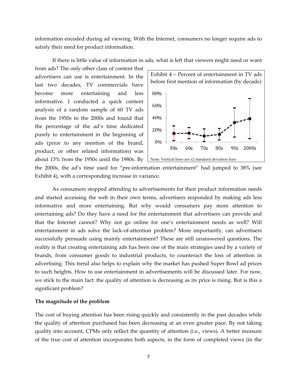information encoded during ad viewing. With the Internet, consumers no longer require ads to satisfy their need for product information.

If there is little value of information in ads, what is left that viewers might need or want from ads? The only other class of content that advertisers can use is entertainment. In the last two decades, TV commercials have become more entertaining and less informative. I conducted a quick content analysis of a random sample of 60 TV ads from the 1950s to the 2000s and found that the percentage of the ad's time dedicated purely to entertainment in the beginning of ads (prior to any mention of the brand, product, or other related information) was about 13% from the 1950s until the 1980s. By



the 2000s, the ad's time used for "pre‐information entertainment" had jumped to 38% (see Exhibit 4), with a corresponding increase in variance.

As consumers stopped attending to advertisements for their product information needs and started accessing the web in their own terms, advertisers responded by making ads less informative and more entertaining. But why would consumers pay more attention to entertaining ads? Do they have a need for the entertainment that advertisers can provide and that the Internet cannot? Why not go online for one's entertainment needs as well? Will entertainment in ads solve the lack‐of‐attention problem? More importantly, can advertisers successfully persuade using mainly entertainment? These are still unanswered questions. The reality is that creating entertaining ads has been one of the main strategies used by a variety of brands, from consumer goods to industrial products, to counteract the loss of attention in advertising. This trend also helps to explain why the market has pushed Super Bowl ad prices to such heights. How to use entertainment in advertisements will be discussed later. For now, we stick to the main fact: the quality of attention is decreasing as its price is rising. But is this a significant problem?

# **The magnitude of the problem**

The cost of buying attention has been rising quickly and consistently in the past decades while the quality of attention purchased has been decreasing at an even greater pace. By not taking quality into account, CPMs only reflect the quantity of attention (i.e., views). A better measure of the true cost of attention incorporates both aspects, in the form of completed views (in the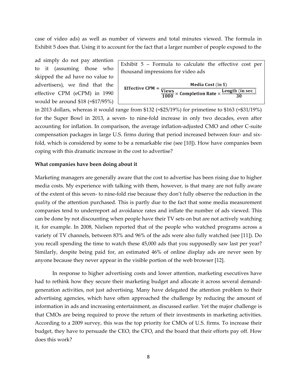case of video ads) as well as number of viewers and total minutes viewed. The formula in Exhibit 5 does that. Using it to account for the fact that a larger number of people exposed to the

ad simply do not pay attention to it (assuming those who skipped the ad have no value to advertisers), we find that the effective CPM (eCPM) in 1990 would be around \$18 (=\$17/95%)

| Exhibit $5$ – Formula to calculate the effective cost per                                                           |  |                           |  |  |  |  |  |  |  |
|---------------------------------------------------------------------------------------------------------------------|--|---------------------------|--|--|--|--|--|--|--|
| thousand impressions for video ads                                                                                  |  |                           |  |  |  |  |  |  |  |
| Effective CPM = $\frac{\text{Views}}{1000} \times \text{Completion Rate} \times \frac{\text{Length (in sec.)}}{30}$ |  | <b>Media Cost (in \$)</b> |  |  |  |  |  |  |  |

in 2013 dollars, whereas it would range from \$132 (=\$25/19%) for primetime to \$163 (=\$31/19%) for the Super Bowl in 2013, a seven- to nine-fold increase in only two decades, even after accounting for inflation. In comparison, the average inflation-adjusted CMO and other C-suite compensation packages in large U.S. firms during that period increased between four‐ and six‐ fold, which is considered by some to be a remarkable rise (see [10]). How have companies been coping with this dramatic increase in the cost to advertise?

## **What companies have been doing about it**

Marketing managers are generally aware that the cost to advertise has been rising due to higher media costs. My experience with talking with them, however, is that many are not fully aware of the extent of this seven‐ to nine‐fold rise because they don't fully observe the reduction in the *quality* of the attention purchased. This is partly due to the fact that some media measurement companies tend to underreport ad avoidance rates and inflate the number of ads viewed. This can be done by not discounting when people have their TV sets on but are not actively watching it, for example. In 2008, Nielsen reported that of the people who watched programs across a variety of TV channels, between 83% and 96% of the ads were also fully watched (see [11]). Do you recall spending the time to watch these 45,000 ads that you supposedly saw last per year? Similarly, despite being paid for, an estimated 46% of online display ads are never seen by anyone because they never appear in the visible portion of the web browser [12].

In response to higher advertising costs and lower attention, marketing executives have had to rethink how they secure their marketing budget and allocate it across several demand‐ generation activities, not just advertising. Many have delegated the attention problem to their advertising agencies, which have often approached the challenge by reducing the amount of information in ads and increasing entertainment, as discussed earlier. Yet the major challenge is that CMOs are being required to prove the return of their investments in marketing activities. According to a 2009 survey, this was the top priority for CMOs of U.S. firms. To increase their budget, they have to persuade the CEO, the CFO, and the board that their efforts pay off. How does this work?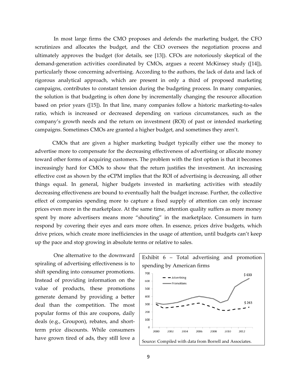In most large firms the CMO proposes and defends the marketing budget, the CFO scrutinizes and allocates the budget, and the CEO oversees the negotiation process and ultimately approves the budget (for details, see [13]). CFOs are notoriously skeptical of the demand‐generation activities coordinated by CMOs, argues a recent McKinsey study ([14]), particularly those concerning advertising. According to the authors, the lack of data and lack of rigorous analytical approach, which are present in only a third of proposed marketing campaigns, contributes to constant tension during the budgeting process. In many companies, the solution is that budgeting is often done by incrementally changing the resource allocation based on prior years ([15]). In that line, many companies follow a historic marketing‐to‐sales ratio, which is increased or decreased depending on various circumstances, such as the company's growth needs and the return on investment (ROI) of past or intended marketing campaigns. Sometimes CMOs are granted a higher budget, and sometimes they aren't.

CMOs that are given a higher marketing budget typically either use the money to advertise more to compensate for the decreasing effectiveness of advertising or allocate money toward other forms of acquiring customers. The problem with the first option is that it becomes increasingly hard for CMOs to show that the return justifies the investment. An increasing effective cost as shown by the eCPM implies that the ROI of advertising is decreasing, all other things equal. In general, higher budgets invested in marketing activities with steadily decreasing effectiveness are bound to eventually halt the budget increase. Further, the collective effect of companies spending more to capture a fixed supply of attention can only increase prices even more in the marketplace. At the same time, attention quality suffers as more money spent by more advertisers means more "shouting" in the marketplace. Consumers in turn respond by covering their eyes and ears more often. In essence, prices drive budgets, which drive prices, which create more inefficiencies in the usage of attention, until budgets can't keep up the pace and stop growing in absolute terms or relative to sales.

One alternative to the downward spiraling of advertising effectiveness is to shift spending into consumer promotions. Instead of providing information on the value of products, these promotions generate demand by providing a better deal than the competition. The most popular forms of this are coupons, daily deals (e.g., Groupon), rebates, and short‐ term price discounts. While consumers have grown tired of ads, they still love a

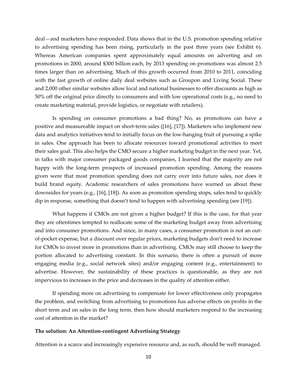deal—and marketers have responded. Data shows that in the U.S. promotion spending relative to advertising spending has been rising, particularly in the past three years (see Exhibit 6). Whereas American companies spent approximately equal amounts on adverting and on promotions in 2000, around \$300 billion each, by 2013 spending on promotions was almost 2.5 times larger than on advertising. Much of this growth occurred from 2010 to 2011, coinciding with the fast growth of online daily deal websites such as Groupon and Living Social. These and 2,000 other similar websites allow local and national businesses to offer discounts as high as 50% off the original price directly to consumers and with low operational costs (e.g., no need to create marketing material, provide logistics, or negotiate with retailers).

Is spending on consumer promotions a bad thing? No, as promotions can have a positive and measureable impact on short‐term sales ([16], [17]). Marketers who implement new data and analytics initiatives tend to initially focus on the low‐hanging fruit of pursuing a spike in sales. One approach has been to allocate resources toward promotional activities to meet their sales goal. This also helps the CMO secure a higher marketing budget in the next year. Yet, in talks with major consumer packaged goods companies, I learned that the majority are not happy with the long-term prospects of increased promotion spending. Among the reasons given were that most promotion spending does not carry over into future sales, nor does it build brand equity. Academic researchers of sales promotions have warned us about these downsides for years (e.g., [16], [18]). As soon as promotion spending stops, sales tend to quickly dip in response, something that doesn't tend to happen with advertising spending (see [19]).

What happens if CMOs are not given a higher budget? If this is the case, for that year they are oftentimes tempted to reallocate some of the marketing budget away from advertising and into consumer promotions. And since, in many cases, a consumer promotion is not an outof‐pocket expense, but a discount over regular prices, marketing budgets don't need to increase for CMOs to invest more in promotions than in advertising. CMOs may still choose to keep the portion allocated to advertising constant. In this scenario, there is often a pursuit of more engaging media (e.g., social network sites) and/or engaging content (e.g., entertainment) to advertise. However, the sustainability of these practices is questionable, as they are not impervious to increases in the price and decreases in the quality of attention either.

If spending more on advertising to compensate for lower effectiveness only propagates the problem, and switching from advertising to promotions has adverse effects on profits in the short term and on sales in the long term, then how should marketers respond to the increasing cost of attention in the market?

## **The solution: An Attention‐contingent Advertising Strategy**

Attention is a scarce and increasingly expensive resource and, as such, should be well managed.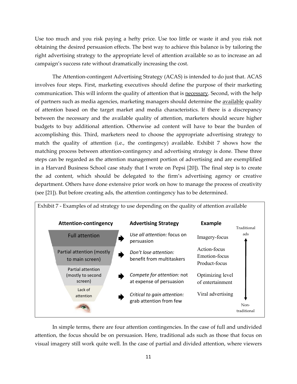Use too much and you risk paying a hefty price. Use too little or waste it and you risk not obtaining the desired persuasion effects. The best way to achieve this balance is by tailoring the right advertising strategy to the appropriate level of attention available so as to increase an ad campaign's success rate without dramatically increasing the cost.

The Attention‐contingent Advertising Strategy (ACAS) is intended to do just that. ACAS involves four steps. First, marketing executives should define the purpose of their marketing communication. This will inform the quality of attention that is necessary. Second, with the help of partners such as media agencies, marketing managers should determine the available quality of attention based on the target market and media characteristics. If there is a discrepancy between the necessary and the available quality of attention, marketers should secure higher budgets to buy additional attention. Otherwise ad content will have to bear the burden of accomplishing this. Third, marketers need to choose the appropriate advertising strategy to match the quality of attention (i.e., the contingency) available. Exhibit 7 shows how the matching process between attention-contingency and advertising strategy is done. These three steps can be regarded as the attention management portion of advertising and are exemplified in a Harvard Business School case study that I wrote on Pepsi [20]). The final step is to create the ad content, which should be delegated to the firm's advertising agency or creative department. Others have done extensive prior work on how to manage the process of creativity (see [21]). But before creating ads, the attention contingency has to be determined.



In simple terms, there are four attention contingencies. In the case of full and undivided attention, the focus should be on persuasion. Here, traditional ads such as those that focus on visual imagery still work quite well. In the case of partial and divided attention, where viewers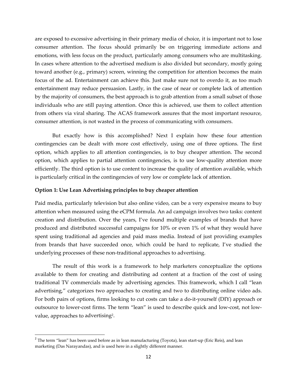are exposed to excessive advertising in their primary media of choice, it is important not to lose consumer attention. The focus should primarily be on triggering immediate actions and emotions, with less focus on the product, particularly among consumers who are multitasking. In cases where attention to the advertised medium is also divided but secondary, mostly going toward another (e.g., primary) screen, winning the competition for attention becomes the main focus of the ad. Entertainment can achieve this. Just make sure not to overdo it, as too much entertainment may reduce persuasion. Lastly, in the case of near or complete lack of attention by the majority of consumers, the best approach is to grab attention from a small subset of those individuals who are still paying attention. Once this is achieved, use them to collect attention from others via viral sharing. The ACAS framework assures that the most important resource, consumer attention, is not wasted in the process of communicating with consumers.

But exactly how is this accomplished? Next I explain how these four attention contingencies can be dealt with more cost effectively, using one of three options. The first option, which applies to all attention contingencies, is to buy cheaper attention. The second option, which applies to partial attention contingencies, is to use low‐quality attention more efficiently. The third option is to use content to increase the quality of attention available, which is particularly critical in the contingencies of very low or complete lack of attention.

# **Option 1: Use Lean Advertising principles to buy cheaper attention**

Paid media, particularly television but also online video, can be a very expensive means to buy attention when measured using the eCPM formula. An ad campaign involves two tasks: content creation and distribution. Over the years, I've found multiple examples of brands that have produced and distributed successful campaigns for 10% or even 1% of what they would have spent using traditional ad agencies and paid mass media. Instead of just providing examples from brands that have succeeded once, which could be hard to replicate, I've studied the underlying processes of these non‐traditional approaches to advertising.

The result of this work is a framework to help marketers conceptualize the options available to them for creating and distributing ad content at a fraction of the cost of using traditional TV commercials made by advertising agencies. This framework, which I call "lean advertising*,*" categorizes two approaches to creating and two to distributing online video ads. For both pairs of options, firms looking to cut costs can take a do-it-yourself (DIY) approach or outsource to lower-cost firms. The term "lean" is used to describe quick and low-cost, not lowvalue, approaches to advertising2.

 $2$  The term "lean" has been used before as in lean manufacturing (Toyota), lean start-up (Eric Reis), and lean marketing (Das Narayandas), and is used here in a slightly different manner.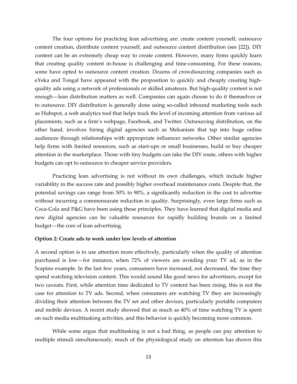The four options for practicing lean advertising are: create content yourself, outsource content creation, distribute content yourself, and outsource content distribution (see [22]). DIY content can be an extremely cheap way to create content. However, many firms quickly learn that creating quality content in‐house is challenging and time‐consuming. For these reasons, some have opted to outsource content creation. Dozens of crowdsourcing companies such as eYeka and Tongal have appeared with the proposition to quickly and cheaply creating high‐ quality ads using a network of professionals or skilled amateurs. But high‐quality content is not enough—lean distribution matters as well. Companies can again choose to do it themselves or to outsource. DIY distribution is generally done using so-called inbound marketing tools such as Hubspot, a web analytics tool that helps track the level of incoming attention from various ad placements, such as a firm's webpage, Facebook, and Twitter. Outsourcing distribution, on the other hand, involves hiring digital agencies such as Mekanism that tap into huge online audiences through relationships with appropriate influencer networks. Other similar agencies help firms with limited resources, such as start-ups or small businesses, build or buy cheaper attention in the marketplace. Those with tiny budgets can take the DIY route, others with higher budgets can opt to outsource to cheaper service providers.

Practicing lean advertising is not without its own challenges, which include higher variability in the success rate and possibly higher overhead maintenance costs. Despite that, the potential savings can range from 50% to 90%, a significantly reduction in the cost to advertise without incurring a commensurate reduction in quality. Surprisingly, even large firms such as Coca‐Cola and P&G have been using these principles. They have learned that digital media and new digital agencies can be valuable resources for rapidly building brands on a limited budget—the core of lean advertising.

# **Option 2: Create ads to work under low levels of attention**

A second option is to use attention more effectively, particularly when the quality of attention purchased is low—for instance, when 72% of viewers are avoiding your TV ad, as in the Scapino example. In the last few years, consumers have increased, not decreased, the time they spend watching television content. This would sound like good news for advertisers, except for two caveats. First, while attention time dedicated to TV content has been rising, this is not the case for attention to TV ads. Second, when consumers are watching TV they are increasingly dividing their attention between the TV set and other devices, particularly portable computers and mobile devices. A recent study showed that as much as 40% of time watching TV is spent on such media multitasking activities, and this behavior is quickly becoming more common.

While some argue that multitasking is not a bad thing, as people can pay attention to multiple stimuli simultaneously, much of the physiological study on attention has shown this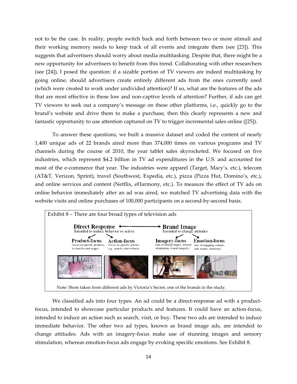not to be the case. In reality, people switch back and forth between two or more stimuli and their working memory needs to keep track of all events and integrate them (see [23]). This suggests that advertisers should worry about media multitasking. Despite that, there might be a new opportunity for advertisers to benefit from this trend. Collaborating with other researchers (see [24]), I posed the question: if a sizable portion of TV viewers are indeed multitasking by going online, should advertisers create entirely different ads from the ones currently used (which were created to work under undivided attention)? If so, what are the features of the ads that are most effective in these low and non‐captive levels of attention? Further, if ads can get TV viewers to seek out a company's message on these other platforms, i.e., quickly go to the brand's website and drive them to make a purchase, then this clearly represents a new and fantastic opportunity to use attention captured on TV to trigger incremental sales online ([25]).

To answer these questions, we built a massive dataset and coded the content of nearly 1,400 unique ads of 22 brands aired more than 374,000 times on various programs and TV channels during the course of 2010, the year tablet sales skyrocketed. We focused on five industries, which represent \$4.2 billion in TV ad expenditures in the U.S. and accounted for most of the e-commerce that year. The industries were apparel (Target, Macy's, etc.), telecom (AT&T, Verizon, Sprint), travel (Southwest, Expedia, etc.), pizza (Pizza Hut, Domino's, etc.), and online services and content (Netflix, eHarmony, etc.). To measure the effect of TV ads on online behavior immediately after an ad was aired, we matched TV advertising data with the website visits and online purchases of 100,000 participants on a second-by-second basis.



We classified ads into four types. An ad could be a direct-response ad with a productfocus, intended to showcase particular products and features. It could have an action‐focus, intended to induce an action such as search, visit, or buy. These two ads are intended to induce immediate behavior. The other two ad types, known as brand image ads, are intended to change attitudes. Ads with an imagery‐focus make use of stunning images and sensory stimulation, whereas emotion‐focus ads engage by evoking specific emotions. See Exhibit 8.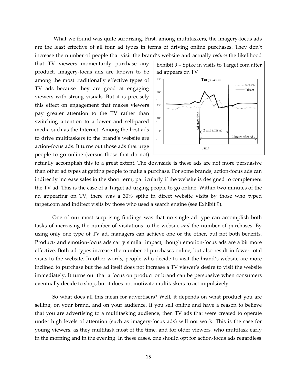What we found was quite surprising. First, among multitaskers, the imagery-focus ads are the least effective of all four ad types in terms of driving online purchases. They don't increase the number of people that visit the brand's website and actually *reduce* the likelihood

that TV viewers momentarily purchase any product. Imagery‐focus ads are known to be among the most traditionally effective types of TV ads because they are good at engaging viewers with strong visuals. But it is precisely this effect on engagement that makes viewers pay greater attention to the TV rather than switching attention to a lower and self‐paced media such as the Internet. Among the best ads to drive multitaskers to the brand's website are action‐focus ads. It turns out those ads that urge people to go online (versus those that do not)



actually accomplish this to a great extent. The downside is these ads are not more persuasive than other ad types at getting people to make a purchase. For some brands, action‐focus ads can indirectly increase sales in the short term, particularly if the website is designed to complement the TV ad. This is the case of a Target ad urging people to go online. Within two minutes of the ad appearing on TV, there was a 30% spike in direct website visits by those who typed target.com and indirect visits by those who used a search engine (see Exhibit 9).

One of our most surprising findings was that no single ad type can accomplish both tasks of increasing the number of visitations to the website *and* the number of purchases. By using only one type of TV ad, managers can achieve one or the other, but not both benefits. Product- and emotion-focus ads carry similar impact, though emotion-focus ads are a bit more effective. Both ad types increase the number of purchases online, but also result in fewer total visits to the website. In other words, people who decide to visit the brand's website are more inclined to purchase but the ad itself does not increase a TV viewer's desire to visit the website immediately. It turns out that a focus on product or brand can be persuasive when consumers eventually decide to shop, but it does not motivate multitaskers to act impulsively.

So what does all this mean for advertisers? Well, it depends on what product you are selling, on your brand, and on your audience. If you sell online and have a reason to believe that you are advertising to a multitasking audience, then TV ads that were created to operate under high levels of attention (such as imagery‐focus ads) will not work. This is the case for young viewers, as they multitask most of the time, and for older viewers, who multitask early in the morning and in the evening. In these cases, one should opt for action‐focus ads regardless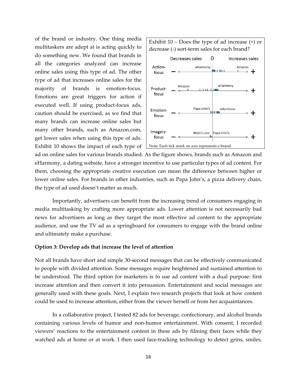of the brand or industry. One thing media multitaskers are adept at is acting quickly to do something new. We found that brands in all the categories analyzed can increase online sales using this type of ad. The other type of ad that increases online sales for the majority of brands is emotion‐focus. Emotions are great triggers for action if executed well. If using product‐focus ads, caution should be exercised, as we find that many brands can increase online sales but many other brands, such as Amazon.com, get lower sales when using this type of ads. Exhibit 10 shows the impact of each type of



ad on online sales for various brands studied. As the figure shows, brands such as Amazon and eHarmony, a dating website, have a stronger incentive to use particular types of ad content. For them, choosing the appropriate creative execution can mean the difference between higher or lower online sales. For brands in other industries, such as Papa John's, a pizza delivery chain, the type of ad used doesn't matter as much.

 Importantly, advertisers can benefit from the increasing trend of consumers engaging in media multitasking by crafting more appropriate ads. Lower attention is not necessarily bad news for advertisers as long as they target the most effective ad content to the appropriate audience, and use the TV ad as a springboard for consumers to engage with the brand online and ultimately make a purchase.

#### **Option 3: Develop ads that increase the level of attention**

Not all brands have short and simple 30‐second messages that can be effectively communicated to people with divided attention. Some messages require heightened and sustained attention to be understood. The third option for marketers is to use ad content with a dual purpose: first increase attention and then convert it into persuasion. Entertainment and social messages are generally used with these goals. Next, I explain two research projects that look at how content could be used to increase attention, either from the viewer herself or from her acquaintances.

In a collaborative project, I tested 82 ads for beverage, confectionary, and alcohol brands containing various levels of humor and non‐humor entertainment. With consent, I recorded viewers' reactions to the entertainment content in these ads by filming their faces while they watched ads at home or at work. I then used face-tracking technology to detect grins, smiles,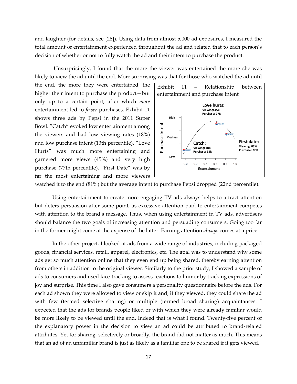and laughter (for details, see [26]). Using data from almost 5,000 ad exposures, I measured the total amount of entertainment experienced throughout the ad and related that to each person's decision of whether or not to fully watch the ad and their intent to purchase the product.

Unsurprisingly, I found that the more the viewer was entertained the more she was likely to view the ad until the end. More surprising was that for those who watched the ad until

the end, the more they were entertained, the higher their intent to purchase the product—but only up to a certain point, after which *more* entertainment led to *fewer* purchases. Exhibit 11 shows three ads by Pepsi in the 2011 Super Bowl. "Catch" evoked low entertainment among the viewers and had low viewing rates (18%) and low purchase intent (13th percentile). "Love Hurts" was much more entertaining and garnered more views (45%) and very high purchase (77th percentile). "First Date" was by far the most entertaining and more viewers



watched it to the end (81%) but the average intent to purchase Pepsi dropped (22nd percentile).

 Using entertainment to create more engaging TV ads always helps to attract attention but deters persuasion after some point, as excessive attention paid to entertainment competes with attention to the brand's message. Thus, when using entertainment in TV ads, advertisers should balance the two goals of increasing attention and persuading consumers. Going too far in the former might come at the expense of the latter. Earning attention *always* comes at a price.

In the other project, I looked at ads from a wide range of industries, including packaged goods, financial services, retail, apparel, electronics, etc. The goal was to understand why some ads get so much attention online that they even end up being shared, thereby earning attention from others in addition to the original viewer. Similarly to the prior study, I showed a sample of ads to consumers and used face‐tracking to assess reactions to humor by tracking expressions of joy and surprise. This time I also gave consumers a personality questionnaire before the ads. For each ad shown they were allowed to view or skip it and, if they viewed, they could share the ad with few (termed selective sharing) or multiple (termed broad sharing) acquaintances. I expected that the ads for brands people liked or with which they were already familiar would be more likely to be viewed until the end. Indeed that is what I found. Twenty‐five percent of the explanatory power in the decision to view an ad could be attributed to brand‐related attributes. Yet for sharing, selectively or broadly, the brand did not matter as much. This means that an ad of an unfamiliar brand is just as likely as a familiar one to be shared if it gets viewed.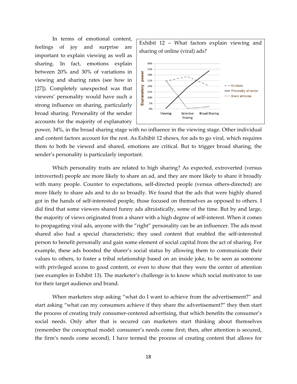In terms of emotional content, feelings of joy and surprise are important to explain viewing as well as sharing. In fact, emotions explain between 20% and 30% of variations in viewing and sharing rates (see how in [27]). Completely unexpected was that viewers' personality would have such a strong influence on sharing, particularly broad sharing. Personality of the sender accounts for the majority of explanatory



power, 34%, in the broad sharing stage with no influence in the viewing stage. Other individual and content factors account for the rest. As Exhibit 12 shows, for ads to go viral, which requires them to both be viewed and shared, emotions are critical. But to trigger broad sharing, the sender's personality is particularly important.

Which personality traits are related to high sharing? As expected, extroverted (versus introverted) people are more likely to share an ad, and they are more likely to share it broadly with many people. Counter to expectations, self-directed people (versus others-directed) are more likely to share ads and to do so broadly. We found that the ads that were highly shared got in the hands of self‐interested people, those focused on themselves as opposed to others. I did find that some viewers shared funny ads altruistically, some of the time. But by and large, the majority of views originated from a sharer with a high degree of self‐interest. When it comes to propagating viral ads, anyone with the "right" personality can be an influencer. The ads most shared also had a special characteristic; they used content that enabled the self-interested person to benefit personally and gain some element of social capital from the act of sharing. For example, these ads boosted the sharer's social status by allowing them to communicate their values to others, to foster a tribal relationship based on an inside joke, to be seen as someone with privileged access to good content, or even to show that they were the center of attention (see examples in Exhibit 13). The marketer's challenge is to know which social motivator to use for their target audience and brand.

When marketers stop asking "what do I want to achieve from the advertisement?" and start asking "what can my consumers achieve if they share the advertisement?" they then start the process of creating truly consumer-centered advertising, that which benefits the consumer's social needs. Only after that is secured can marketers start thinking about themselves (remember the conceptual model: consumer's needs come first; then, after attention is secured, the firm's needs come second). I have termed the process of creating content that allows for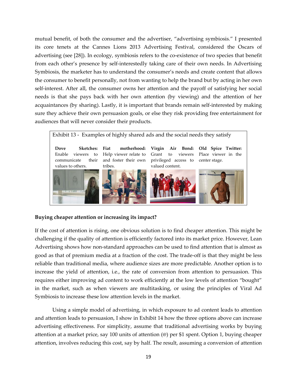mutual benefit, of both the consumer and the advertiser, "advertising symbiosis*.*" I presented its core tenets at the Cannes Lions 2013 Advertising Festival, considered the Oscars of advertising (see [28]). In ecology, symbiosis refers to the co-existence of two species that benefit from each other's presence by self-interestedly taking care of their own needs. In Advertising Symbiosis, the marketer has to understand the consumer's needs and create content that allows the consumer to benefit personally, not from wanting to help the brand but by acting in her own self-interest. After all, the consumer owns her attention and the payoff of satisfying her social needs is that she pays back with her own attention (by viewing) and the attention of her acquaintances (by sharing). Lastly, it is important that brands remain self-interested by making sure they achieve their own persuasion goals, or else they risk providing free entertainment for audiences that will never consider their products.



# **Buying cheaper attention or increasing its impact?**

If the cost of attention is rising, one obvious solution is to find cheaper attention. This might be challenging if the quality of attention is efficiently factored into its market price. However, Lean Advertising shows how non‐standard approaches can be used to find attention that is almost as good as that of premium media at a fraction of the cost. The trade‐off is that they might be less reliable than traditional media, where audience sizes are more predictable. Another option is to increase the yield of attention, i.e., the rate of conversion from attention to persuasion. This requires either improving ad content to work efficiently at the low levels of attention "bought" in the market, such as when viewers are multitasking, or using the principles of Viral Ad Symbiosis to increase these low attention levels in the market.

Using a simple model of advertising, in which exposure to ad content leads to attention and attention leads to persuasion, I show in Exhibit 14 how the three options above can increase advertising effectiveness. For simplicity, assume that traditional advertising works by buying attention at a market price, say 100 units of attention (@) per \$1 spent. Option 1, buying cheaper attention, involves reducing this cost, say by half. The result, assuming a conversion of attention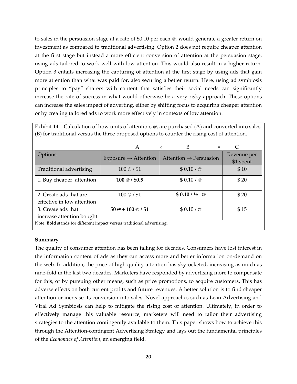to sales in the persuasion stage at a rate of \$0.10 per each @, would generate a greater return on investment as compared to traditional advertising. Option 2 does not require cheaper attention at the first stage but instead a more efficient conversion of attention at the persuasion stage, using ads tailored to work well with low attention. This would also result in a higher return. Option 3 entails increasing the capturing of attention at the first stage by using ads that gain more attention than what was paid for, also securing a better return. Here, using ad symbiosis principles to "pay" sharers with content that satisfies their social needs can significantly increase the rate of success in what would otherwise be a very risky approach. These options can increase the sales impact of adverting, either by shifting focus to acquiring cheaper attention or by creating tailored ads to work more effectively in contexts of low attention.

|                                                                        | A                                | B<br>$=$<br>$\times$               | $\subset$   |  |  |  |  |
|------------------------------------------------------------------------|----------------------------------|------------------------------------|-------------|--|--|--|--|
| Options:                                                               |                                  |                                    | Revenue per |  |  |  |  |
|                                                                        | $Exposure \rightarrow Attention$ | Attention $\rightarrow$ Persuasion | \$1 spent   |  |  |  |  |
| Traditional advertising                                                | $100 \omega / $1$                | \$0.10 / @                         | \$10        |  |  |  |  |
| 1. Buy cheaper attention                                               | $100 \omega / $0.5$              | \$0.10 / @                         | \$20        |  |  |  |  |
|                                                                        |                                  |                                    |             |  |  |  |  |
| 2. Create ads that are                                                 | $100 \omega / $1$                | $$0.10 / \frac{1}{2}$ @            | \$20        |  |  |  |  |
| effective in low attention                                             |                                  |                                    |             |  |  |  |  |
| 3. Create ads that                                                     | $50@ + 100@ / $1$                | \$0.10 / @                         | \$15        |  |  |  |  |
| increase attention bought                                              |                                  |                                    |             |  |  |  |  |
| Note: Bold stands for different impact versus traditional advertising. |                                  |                                    |             |  |  |  |  |

Exhibit 14 – Calculation of how units of attention,  $\omega$ , are purchased (A) and converted into sales (B) for traditional versus the three proposed options to counter the rising cost of attention.

# **Summary**

The quality of consumer attention has been falling for decades. Consumers have lost interest in the information content of ads as they can access more and better information on‐demand on the web. In addition, the price of high quality attention has skyrocketed, increasing as much as nine‐fold in the last two decades. Marketers have responded by advertising more to compensate for this, or by pursuing other means, such as price promotions, to acquire customers. This has adverse effects on both current profits and future revenues. A better solution is to find cheaper attention or increase its conversion into sales. Novel approaches such as Lean Advertising and Viral Ad Symbiosis can help to mitigate the rising cost of attention. Ultimately, in order to effectively manage this valuable resource, marketers will need to tailor their advertising strategies to the attention contingently available to them. This paper shows how to achieve this through the Attention‐contingent Advertising Strategy and lays out the fundamental principles of the *Economics of Attention*, an emerging field.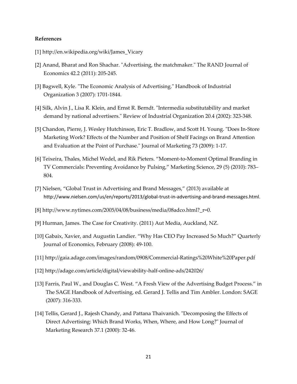# **References**

- [1] http://en.wikipedia.org/wiki/James\_Vicary
- [2] Anand, Bharat and Ron Shachar. "Advertising, the matchmaker." The RAND Journal of Economics 42.2 (2011): 205‐245.
- [3] Bagwell, Kyle. "The Economic Analysis of Advertising." Handbook of Industrial Organization 3 (2007): 1701‐1844.
- [4] Silk, Alvin J., Lisa R. Klein, and Ernst R. Berndt. "Intermedia substitutability and market demand by national advertisers." Review of Industrial Organization 20.4 (2002): 323-348.
- [5] Chandon, Pierre, J. Wesley Hutchinson, Eric T. Bradlow, and Scott H. Young. "Does In-Store Marketing Work? Effects of the Number and Position of Shelf Facings on Brand Attention and Evaluation at the Point of Purchase.ʺ Journal of Marketing 73 (2009): 1‐17.
- [6] Teixeira, Thales, Michel Wedel, and Rik Pieters. "Moment‐to‐Moment Optimal Branding in TV Commercials: Preventing Avoidance by Pulsing," Marketing Science, 29 (5) (2010): 783– 804.
- [7] Nielsen, "Global Trust in Advertising and Brand Messages," (2013) available at http://www.nielsen.com/us/en/reports/2013/global-trust-in-advertising-and-brand-messages.html.
- [8] http://www.nytimes.com/2005/04/08/business/media/08adco.html?\_r=0.
- [9] Hurman, James. The Case for Creativity. (2011) Aut Media, Auckland, NZ.
- [10] Gabaix, Xavier, and Augustin Landier. "Why Has CEO Pay Increased So Much?" Quarterly Journal of Economics, February (2008): 49‐100.
- [11] http://gaia.adage.com/images/random/0908/Commercial‐Ratings%20White%20Paper.pdf
- [12] http://adage.com/article/digital/viewability‐half‐online‐ads/242026/
- [13] Farris, Paul W., and Douglas C. West. "A Fresh View of the Advertising Budget Process." in The SAGE Handbook of Advertising, ed. Gerard J. Tellis and Tim Ambler. London: SAGE (2007): 316‐333.
- [14] Tellis, Gerard J., Rajesh Chandy, and Pattana Thaivanich. "Decomposing the Effects of Direct Advertising: Which Brand Works, When, Where, and How Long?" Journal of Marketing Research 37.1 (2000): 32‐46.